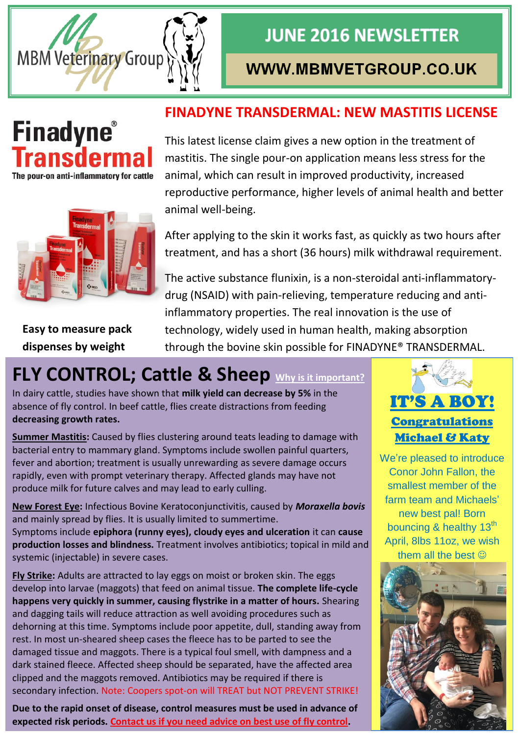

### **Finadyne**® **Fransdern** The pour-on anti-inflammatory for cattle



**Easy to measure pack dispenses by weight**

#### **FINADYNE TRANSDERMAL: NEW MASTITIS LICENSE**

**JUNE 2016 NEWSLETTER** 

WWW.MBMVETGROUP.CO.UK

This latest license claim gives a new option in the treatment of mastitis. The single pour-on application means less stress for the animal, which can result in improved productivity, increased reproductive performance, higher levels of animal health and better animal well-being.

After applying to the skin it works fast, as quickly as two hours after treatment, and has a short (36 hours) milk withdrawal requirement.

The active substance flunixin, is a non-steroidal anti-inflammatorydrug (NSAID) with pain-relieving, temperature reducing and antiinflammatory properties. The real innovation is the use of technology, widely used in human health, making absorption through the bovine skin possible for FINADYNE® TRANSDERMAL.

## **FLY CONTROL; Cattle & Sheep Why is it important?**

In dairy cattle, studies have shown that **milk yield can decrease by 5%** in the absence of fly control. In beef cattle, flies create distractions from feeding **decreasing growth rates.** 

**Summer Mastitis:** Caused by flies clustering around teats leading to damage with bacterial entry to mammary gland. Symptoms include swollen painful quarters, fever and abortion; treatment is usually unrewarding as severe damage occurs rapidly, even with prompt veterinary therapy. Affected glands may have not produce milk for future calves and may lead to early culling.

**New Forest Eye:** Infectious Bovine Keratoconjunctivitis, caused by *Moraxella bovis*  and mainly spread by flies. It is usually limited to summertime. Symptoms include **epiphora (runny eyes), cloudy eyes and ulceration** it can **cause production losses and blindness.** Treatment involves antibiotics; topical in mild and systemic (injectable) in severe cases.

**Fly Strike:** Adults are attracted to lay eggs on moist or broken skin. The eggs develop into larvae (maggots) that feed on animal tissue. **The complete life-cycle happens very quickly in summer, causing flystrike in a matter of hours.** Shearing and dagging tails will reduce attraction as well avoiding procedures such as dehorning at this time. Symptoms include poor appetite, dull, standing away from rest. In most un-sheared sheep cases the fleece has to be parted to see the damaged tissue and maggots. There is a typical foul smell, with dampness and a dark stained fleece. Affected sheep should be separated, have the affected area clipped and the maggots removed. Antibiotics may be required if there is secondary infection. Note: Coopers spot-on will TREAT but NOT PREVENT STRIKE!

**Due to the rapid onset of disease, control measures must be used in advance of expected risk periods. Contact us if you need advice on best use of fly control.**



We're pleased to introduce Conor John Fallon, the smallest member of the farm team and Michaels' new best pal! Born bouncing & healthy  $13<sup>th</sup>$ April, 8lbs 11oz, we wish them all the best  $\odot$